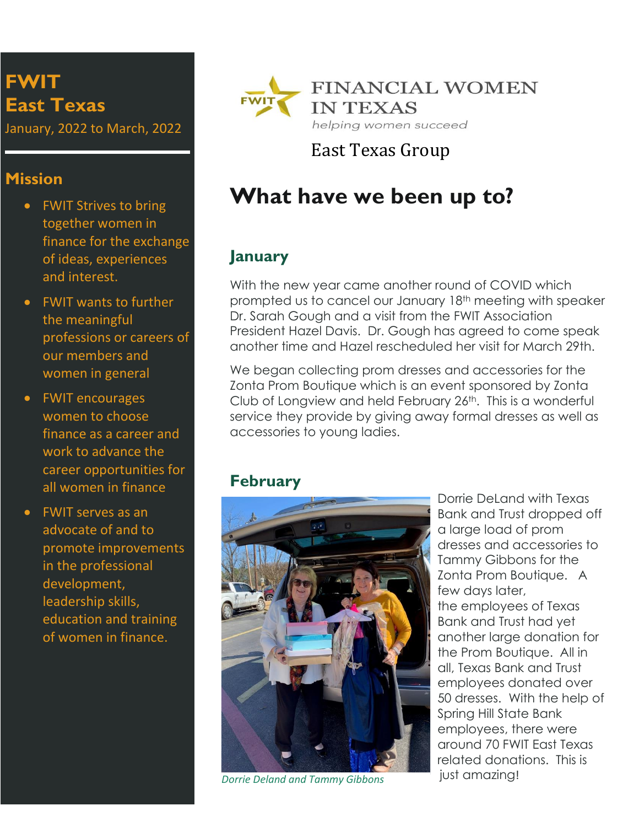# **FWIT East Texas**

January, 2022 to March, 2022

#### **Mission**

- FWIT Strives to bring together women in finance for the exchange of ideas, experiences and interest.
- FWIT wants to further the meaningful professions or careers of our members and women in general
- FWIT encourages women to choose finance as a career and work to advance the career opportunities for all women in finance
- FWIT serves as an advocate of and to promote improvements in the professional development, leadership skills, education and training of women in finance.



East Texas Group

# **What have we been up to?**

## **January**

With the new year came another round of COVID which prompted us to cancel our January 18th meeting with speaker Dr. Sarah Gough and a visit from the FWIT Association President Hazel Davis. Dr. Gough has agreed to come speak another time and Hazel rescheduled her visit for March 29th.

We began collecting prom dresses and accessories for the Zonta Prom Boutique which is an event sponsored by Zonta Club of Longview and held February 26<sup>th</sup>. This is a wonderful service they provide by giving away formal dresses as well as accessories to young ladies.

## **February**



just amazing! *Dorrie Deland and Tammy Gibbons*

Dorrie DeLand with Texas Bank and Trust dropped off a large load of prom dresses and accessories to Tammy Gibbons for the Zonta Prom Boutique. A few days later, the employees of Texas Bank and Trust had yet another large donation for the Prom Boutique. All in all, Texas Bank and Trust employees donated over 50 dresses. With the help of Spring Hill State Bank employees, there were around 70 FWIT East Texas related donations. This is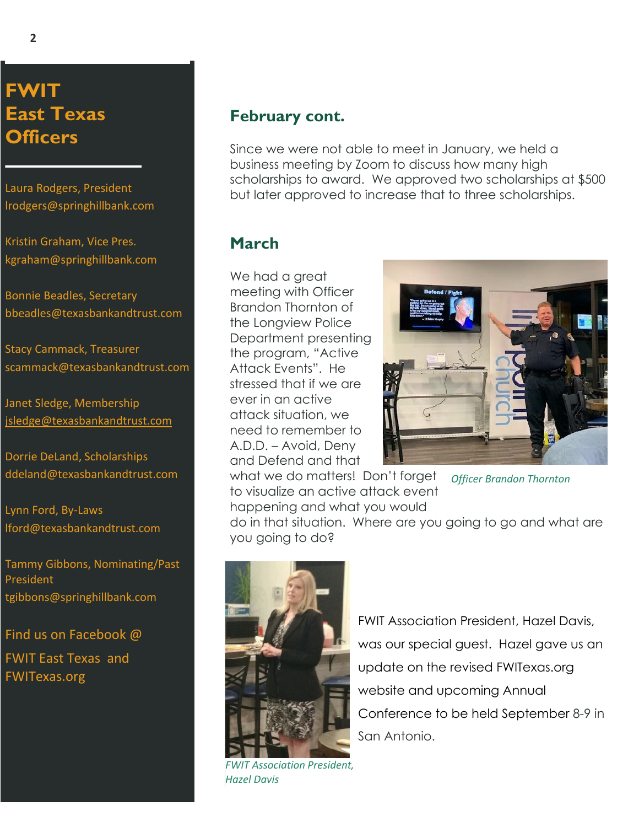**FWIT East Texas Officers**

Laura Rodgers, President [lrodgers@springhillbank.com](mailto:lrodgers@springhillbank.com)

Kristin Graham, Vice Pres. [kgraham@springhillbank.com](mailto:kgraham@springhillbank.com)

Bonnie Beadles, Secretary bbeadles@texasbankandtrust.com

Stacy Cammack, Treasurer scammack@texasbankandtrust.com

Janet Sledge, Membership [jsledge@texasbankandtrust.com](mailto:jsledge@texasbankandtrust.com)

Dorrie DeLand, Scholarships ddeland@texasbankandtrust.com

Lynn Ford, By-Laws lford@texasbankandtrust.com

Tammy Gibbons, Nominating/Past President tgibbons@springhillbank.com

Find us on Facebook @

FWIT East Texas and FWITexas.org

#### **February cont.**

Since we were not able to meet in January, we held a business meeting by Zoom to discuss how many high scholarships to award. We approved two scholarships at \$500 but later approved to increase that to three scholarships.

#### **March**

We had a great meeting with Officer Brandon Thornton of the Longview Police Department presenting the program, "Active Attack Events". He stressed that if we are ever in an active attack situation, we need to remember to A.D.D. – Avoid, Deny and Defend and that what we do matters! Don't forget



to visualize an active attack event *Officer Brandon Thornton*

happening and what you would do in that situation. Where are you going to go and what are you going to do?



*FWIT Association President, Hazel Davis*

FWIT Association President, Hazel Davis, was our special guest. Hazel gave us an update on the revised FWITexas.org website and upcoming Annual Conference to be held September 8-9 in San Antonio.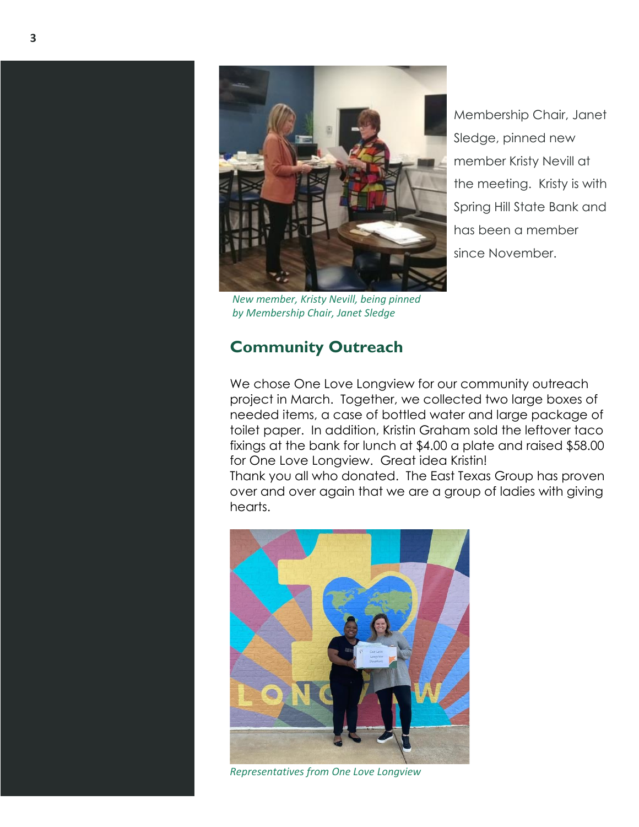

*New member, Kristy Nevill, being pinned by Membership Chair, Janet Sledge*

# **Community Outreach**

Membership Chair, Janet Sledge, pinned new member Kristy Nevill at the meeting. Kristy is with Spring Hill State Bank and has been a member since November.

We chose One Love Longview for our community outreach project in March. Together, we collected two large boxes of needed items, a case of bottled water and large package of toilet paper. In addition, Kristin Graham sold the leftover taco fixings at the bank for lunch at \$4.00 a plate and raised \$58.00 for One Love Longview. Great idea Kristin!

Thank you all who donated. The East Texas Group has proven over and over again that we are a group of ladies with giving hearts.



*Representatives from One Love Longview*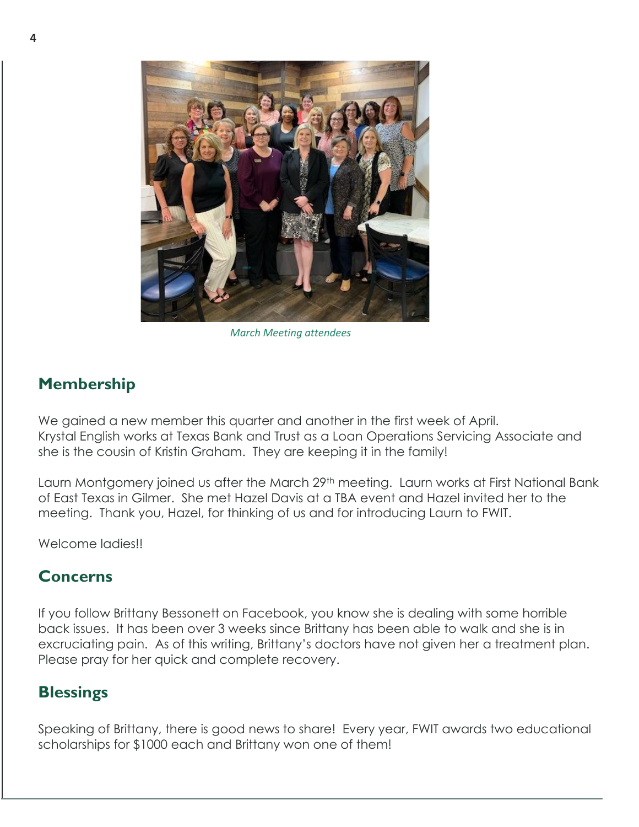

*March Meeting attendees*

#### **Membership**

We gained a new member this quarter and another in the first week of April. Krystal English works at Texas Bank and Trust as a Loan Operations Servicing Associate and she is the cousin of Kristin Graham. They are keeping it in the family!

Laurn Montgomery joined us after the March 29<sup>th</sup> meeting. Laurn works at First National Bank of East Texas in Gilmer. She met Hazel Davis at a TBA event and Hazel invited her to the meeting. Thank you, Hazel, for thinking of us and for introducing Laurn to FWIT.

Welcome ladies!!

#### **Concerns**

If you follow Brittany Bessonett on Facebook, you know she is dealing with some horrible back issues. It has been over 3 weeks since Brittany has been able to walk and she is in excruciating pain. As of this writing, Brittany's doctors have not given her a treatment plan. Please pray for her quick and complete recovery.

#### **Blessings**

Speaking of Brittany, there is good news to share! Every year, FWIT awards two educational scholarships for \$1000 each and Brittany won one of them!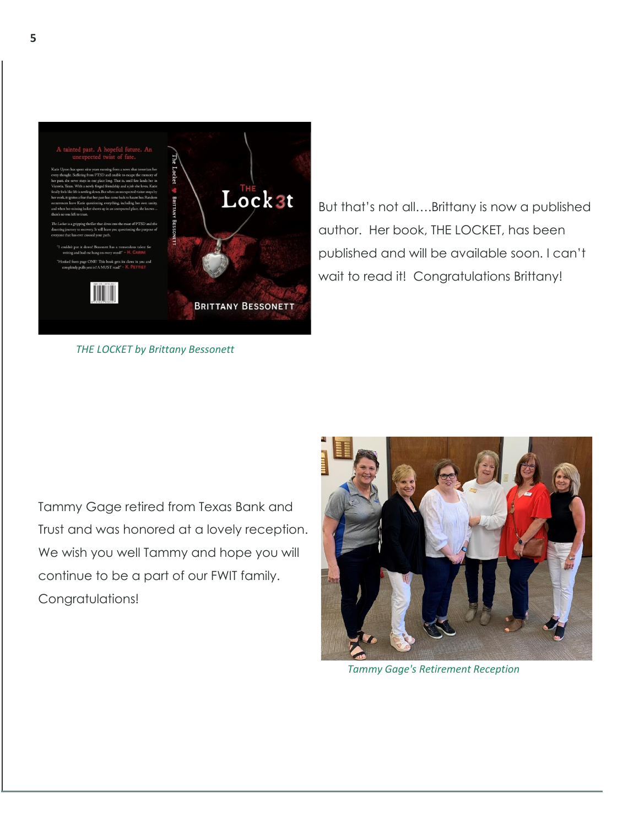

*THE LOCKET by Brittany Bessonett*

But that's not all….Brittany is now a published author. Her book, THE LOCKET, has been published and will be available soon. I can't wait to read it! Congratulations Brittany!

Tammy Gage retired from Texas Bank and Trust and was honored at a lovely reception. We wish you well Tammy and hope you will continue to be a part of our FWIT family. Congratulations!



*Tammy Gage's Retirement Reception*